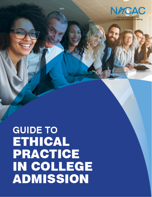

# **GUIDE TO ETHICAL PRACTICE** IN COLLEGE **ADMISSION**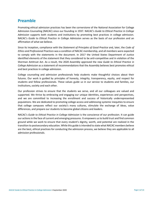# **Preamble**

Promoting ethical admission practices has been the cornerstone of the National Association for College Admission Counseling (NACAC) since our founding in 1937. NACAC's *Guide to Ethical Practice in College Admission* supports both students and institutions by promoting best practices in college admission. NACAC's *Guide to Ethical Practice in College Admission* serves as the basis of our profession and an affirmation of what we believe.

Since its inception, compliance with the *Statement of Principles of Good Practice* and, later, the *Code of Ethics and Professional Practices* was a condition of NACAC membership, and all members were expected to comply with the statements in the document. In 2017 the United States Department of Justice identified elements of the statement that they considered to be anti-competitive and in violation of the Sherman Antitrust Act. As a result, the 2020 Assembly approved the new *Guide to Ethical Practice in College Admission* as a statement of recommendations that the Assembly believes best promotes ethical and best practices in college admission.

College counseling and admission professionals help students make thoughtful choices about their futures. Our work is guided by principles of honesty, integrity, transparency, equity, and respect for students and fellow professionals. These values guide us in our service to students and families, our institutions, society and each other.

Our profession strives to ensure that the students we serve, and all our colleagues are valued and supported. We thrive by embracing and engaging our unique identities, experiences and perspectives, and we are committed to increasing the enrollment and success of historically underrepresented populations. We are dedicated to promoting college access and addressing systemic inequities to ensure that college campuses reflect our society's many cultures, stimulate the exchange of ideas, value differences, and prepare our students to become global citizens and leaders.

NACAC's *Guide to Ethical Practice in College Admission* is the conscience of our profession. It can guide our actions in the face of current and emerging pressures. It empowers us to build trust and find common ground while we work to ensure that every student's dignity, worth, and potential are realized in the transition to postsecondary education. While this guide is intended to state what NACAC members believe are the best, ethical practices for conducting the admission process, we believe they are applicable to all admission professionals.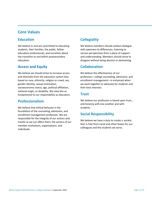# **Core Values**

## **Education**

We believe in and are committed to educating students, their families, the public, fellow education professionals, and ourselves about the transition to and within postsecondary education.

## **Access and Equity**

We believe we should strive to increase access and eliminate from the education system bias based on race, ethnicity, religion or creed, sex, gender identity, sexual orientation, socioeconomic status, age, political affiliation, national origin, or disability. We view this as fundamental to our responsibility as educators.

## **Professionalism**

We believe that ethical behavior is the foundation of the counseling, admission, and enrollment management profession. We are responsible for the integrity of our actions and, insofar as we can affect them, the actions of our member institutions, organizations, and individuals.

# **Collegiality**

We believe members should conduct dialogue with openness to differences, listening to various perspectives from a place of support and understanding. Members should strive to disagree without being abusive or demeaning.

# **Collaboration**

We believe the effectiveness of our profession—college counseling, admission, and enrollment management—is enhanced when we work together to advocate for students and their best interests.

## **Trust**

We believe our profession is based upon trust,, and honesty with one another and with students.

# **Social Responsibility**

We believe we have a duty to create a society that is free from racial and other biases for our colleagues and the students we serve.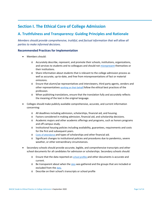# **Section I. The Ethical Core of College Admission**

## **A. Truthfulness and Transparency: Guiding Principles and Rationale**

*Members should provide comprehensive, truthful, and factual information that will allow all parties to make informed decisions.*

#### **Recommended Practices for Implementation**

- Members should:
	- o Accurately describe, represent, and promote their schools, institutions, organizations, and services to students and to colleagues and should not [misrepresent](https://www.nacacnet.org/knowledge-center/professional-standards/compliance-center/misrepresentation/) themselves or their institutions.
	- o Share information about students that is relevant to the college admission process as well as accurate, up-to-date, and free from misrepresentations of fact or material omissions.
	- o Ensure that alumni/ae representatives and interviewers, third party agents, vendors and other representatives [working on their behalf](https://www.govinfo.gov/content/pkg/CFR-2019-title34-vol3/pdf/CFR-2019-title34-vol3-sec668-14.pdf) follow the ethical best practices of the profession.
	- o When publishing translations, ensure that the translation fully and accurately reflects the meaning of the text in the original language.
- Colleges should make publicly available comprehensive, accurate, and current information concerning:
	- o All deadlines including admission, scholarships, financial aid, and housing.
	- o Factors considered in making admission, financial aid, and scholarship decisions.
	- o Academic majors and other academic offerings and programs, such as honors programs and off-campus study.
	- o Institutional housing policies including availability, guarantees, requirements and costs for the first and subsequent years.
	- o [Costs of attendance](https://nces.ed.gov/ipeds/netpricecalculator/#/) and types of scholarships and other financial aid.
	- o Significant changes to institutional policies and procedures due to pandemics, severe weather, or other extraordinary circumstances.
- Secondary schools should provide accurate, legible, and comprehensive transcripts and other school documents for all candidates for admission or scholarships. Secondary schools should:
	- o Ensure that the data reported on [school](https://www.nacacnet.org/knowledge-center/school-profiles/) profiles and other documents is accurate and current.
	- $\circ$  Be transparent about when th[e data](https://nces.ed.gov/ccd/aboutccd.asp) was gathered and the groups that are included or excluded from the [data.](https://nces.ed.gov/surveys/pss/)
	- o Describe on their school's transcripts or school profile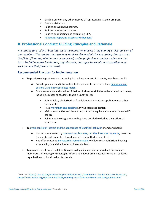- Grading scale or any other method of representing student progress.
- **Grade distribution.**
- Policies on weighting courses.
- Policies on repeated courses.
- **Policies on reporting and calculating GPA.**
- [Policies for reporting disciplinary infractions](https://www2.ed.gov/policy/gen/guid/school-discipline/index.html)<sup>[1](#page-4-0)</sup>

## **B. Professional Conduct: Guiding Principles and Rationale**

*Advocating for students' best interest in the admission process is the primary ethical concern of our members. This requires that students receive college admission counseling they can trust. Conflicts of interest, whether real or perceived, and unprofessional conduct undermine that trust. NACAC member institutions, organizations, and agencies should work together in an environment that fosters that trust.*

#### **Recommended Practices for Implementation**

- To provide college admission counseling in the best interest of students, members should:
	- o Provide guidance and information to help students determine their best [academic,](https://www.nacacnet.org/globalassets/documents/advocacy-and-ethics/initiatives/steps/2017latehsstepbystep.pdf) personal, and [financial college](https://www.nacacnet.org/globalassets/documents/advocacy-and-ethics/initiatives/steps/2017latehsstepbystep.pdf) match.
	- o Educate students and families of their ethical responsibilities in the admission process, including counseling students that it is unethical to:
		- Submit false, plagiarized, or fraudulent statements on applications or other documents.
		- Have more than one pending Early Decision application.
		- Maintain an active enrollment deposit or the equivalent at more than one US college.
		- Fail to notify colleges where they have decided to decline their offers of admission.
- To avoid conflict of interest and the [appearance](https://www.nacacnet.org/professional-development/elearning/college-admission-ethics-in-action/) of unethical behavior, members should:
	- o Not be compensated by [commissions,](https://www.nacacnet.org/knowledge-center/professional-standards/compliance-center/incentive-compensation/) bonuses, or other incentive payments, based on the number of students referred, recruited, admitted, or enrolled.
	- o Not offer or accept any reward [orremuneration](https://www.nacacnet.org/professional-development/elearning/college-admission-ethics-in-action/) to influence an admission, housing, scholarship, financial aid, or enrollment decision.
- To maintain a culture of collaboration and collegiality, members should not disseminate inaccurate, misleading or disparaging information about other secondary schools, colleges, organizations, or individual professionals.

<span id="page-4-0"></span><sup>1</sup> See also[: https://sites.ed.gov/underservedyouth/files/2017/01/MS6-Beyond-The-Box-Resource-Guide.pdf,](https://sites.ed.gov/underservedyouth/files/2017/01/MS6-Beyond-The-Box-Resource-Guide.pdf)  <https://www.aacrao.org/signature-initiatives/trending-topics/criminal-history-and-college-admissions>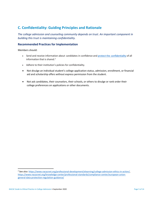# **C. Confidentiality: Guiding Principles and Rationale**

*The college admission and counseling community depends on trust. An important component in building this trust is maintaining confidentiality.*

#### **Recommended Practices for Implementation**

Members should:

- Send and receive information about candidates in confidence and protect the [confidentiality](https://www.nacacnet.org/knowledge-center/professional-standards/compliance-center/ferpa/) of all information that is shared. [2](#page-5-0)
- Adhere to their institution's policies for confidentiality.
- Not divulge an individual student's college application status, admission, enrollment, or financial aid and scholarship offers without express permission from the student.
- Not ask candidates, their counselors, their schools, or others to divulge or rank order their college preferences on applications or other documents.

<span id="page-5-0"></span><sup>2</sup> See also[: https://www.nacacnet.org/professional-development/elearning/college-admission-ethics-in-action/,](https://www.nacacnet.org/professional-development/elearning/college-admission-ethics-in-action/) [https://www.nacacnet.org/knowledge-center/professional-standards/compliance-center/european-union](https://www.nacacnet.org/knowledge-center/professional-standards/compliance-center/european-union-general-data-protection-regulation-guidance/)[general-data-protection-regulation-guidance/](https://www.nacacnet.org/knowledge-center/professional-standards/compliance-center/european-union-general-data-protection-regulation-guidance/)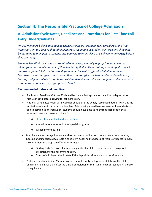# **Section II. The Responsible Practice of College Admission**

# **A. Admission Cycle Dates, Deadlines and Procedures for First-Time Fall Entry Undergraduates**

*NACAC members believe that college choices should be informed, well-considered, and free from coercion. We believe that admission practices should be student-centered and should not be designed to manipulate students into applying to or enrolling at a college or university before they are ready.* 

*Students benefit if they have an organized and developmentally appropriate schedule that allows for a reasonable amount of time to identify their college choices; submit applications for admission, financial aid and scholarships; and decide which offer of admission to accept. Members are encouraged to work with other campus offices such as academic departments, housing and financial aid to create a consistent deadline that does not require students to make a commitment or accept an offer prior to May 1.*

#### **Recommended dates and deadlines**

- Application Deadline: October 15 should be the earliest application deadline colleges set for first-year candidates applying for fall admission.
- National Candidates Reply Date: Colleges should use the widely recognized date of May 1 as the earliest enrollment confirmation deadline. Before being asked to make an enrollment decision and to commit to an institution, students should have time to hear from each school that admitted them and receive notice of
	- o [offers of financial aid and scholarships.](https://www2.ed.gov/policy/highered/guid/aid-offer/index.html)
	- o admission to honors and other special programs.
	- o availability of housing.
- Members are encouraged to work with other campus offices such as academic departments, housing and financial aid to create a consistent deadline that does not require students to make a commitment or accept an offer prior to May 1.
	- o Binding Early Decision plans and recipients of athletic scholarships are recognized exceptions to this recommendation.
	- o Offers of admission should state if the deposit is refundable or non-refundable.
- Notification of admission: Member colleges should notify first-year candidates of their fall admission no earlier than after the official completion of their junior year of secondary school or its equivalent.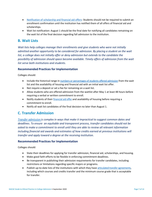- [Notification of scholarship and financial aid offers:](https://ifap.ed.gov/electronic-announcements/04-15-2019-recommendations-what-postsecondary-institutions-should-work) Students should not be required to submit an enrollment confirmation until the institution has notified them of all offers of financial aid and scholarships.
- Wait list notification: August 1 should be the final date for notifying all candidates remaining on the wait list of the final decision regarding fall admission to the institution.

## **B. Wait Lists**

*Wait lists help colleges manage their enrollments and give students who were not initially admitted another opportunity to be considered for admission. By placing a student on the wait*  list, a college does not initially offer or deny admission but extends to the candidate the *possibility of admission should space become available. Timely offers of admission from the wait list serve both institutions and students.*

#### **Recommended Practices for Implementation**

Colleges should:

- Include the historical range in numbers [or percentages](https://www.commondataset.org/) of students offered admission from the wait list and the availability of housing and financial aid with an initial wait list offer.
- Not require a deposit or set a fee for remaining on a wait list.
- Allow students who are offered admission from the waitlist after May 1 at least 48 hours before requiring a verbal or written commitment to enroll.
- Notify students of thei[r financial aid offer](https://www.govinfo.gov/content/pkg/CFR-2019-title34-vol3/xml/CFR-2019-title34-vol3-sec668-165.xml) and availability of housing before requiring a commitment to enroll.
- Notify all wait list candidates of the final decision no later than August 1.

## **C. Transfer Admission**

*Transfer [admission](https://www.nacacnet.org/knowledge-center/transfer/) is complex in ways that make it impractical to suggest common dates and deadlines. To ensure an equitable and transparent process, transfer candidates should not be asked to make a commitment to enroll until they are able to review all relevant information including financial aid awards and estimates of how credits earned at previous institutions will transfer and apply toward a degree at the receiving institution.*

#### **Recommended Practices for Implementation**

Colleges should:

- State their deadlines for applying for transfer admission, financial aid, scholarships, and housing.
- Make good faith efforts to be flexible in enforcing commitment deadlines.
- Be transparent in publishing their admission requirements for transfer candidates, including restrictions or limitations regarding specific majors or programs.
- Publish up-to-date lists of the institutions with which they have articulated transfer [agreements,](https://www.aacrao.org/docs/default-source/signature-initiative-docs/trending-topic-docs/transfer/aacrao-articulation-agreement-final_aacraocover.pdf) including which courses and credits transfer and the minimum course grade that is acceptable for transfer.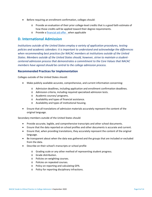- Before requiring an enrollment confirmation, colleges should:
	- $\circ$  Provide an evaluation of their prior college-level credits that is a good faith estimate of how those credits will be applied toward their degree requirements.
	- o Provide [a financial aid offer w](https://www2.ed.gov/policy/highered/guid/aid-offer/index.html)hen applicable

## **D. International Admission**

*Institutions outside of the United States employ a variety of application procedures, testing policies and academic calendars: it is important to understand and acknowledge the differences when recommending best practices for NACAC members at institutions outside of the United States. Members outside of the United States should, however, strive to maintain a studentcentered admission process that demonstrates a commitment to the Core Values that NACAC members have agreed should be central to the college admission process.*

#### **Recommended Practices for Implementation**

Colleges outside of the United States should:

- Make publicly available accurate, comprehensive, and current information concerning:
	- o Admission deadlines, including application and enrollment confirmation deadlines.
	- o Admission criteria, including required specialized admission tests.
	- o Academic courses/ programs.
	- o Availability and types of financial assistance.
	- o Availability and types of institutional housing.
- Ensure that all translations of admission materials accurately represent the content of the original language.

Secondary members outside of the United States should:

- Provide accurate, legible, and comprehensive transcripts and other school documents.
- Ensure that the data reported on school profiles and other documents is accurate and current.
- Ensure that, when providing translations, they accurately represent the content of the original language.
- Be transparent about when the data was gathered and the groups that are included or excluded from the data.
- Describe on their school's transcripts or school profile
	- o Grading scale or any other method of representing student progress.
	- o Grade distribution.
	- o Policies on weighting courses.
	- o Policies on repeated courses.
	- o Policy on reporting and calculating GPA.
	- o Policy for reporting disciplinary infractions.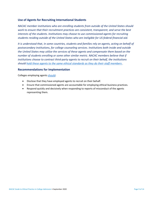### **Use of Agents for Recruiting International Students**

*NACAC member institutions who are enrolling students from outside of the United States should work to ensure that their recruitment practices are consistent, transparent, and serve the best interests of the students. Institutions may choose to use commissioned agents for recruiting students residing outside of the United States who are ineligible for US federal financial aid.* 

*It is understood that, in some countries, students and families rely on agents, acting on behalf of postsecondary institutions, for college counseling services. Institutions both inside and outside the United States may utilize the services of these agents and compensate them based on the number of students enrolling or some other similar metric. NACAC members believe that if institutions choose to contract third-party agents to recruit on their behalf, the institutions should hold these agents to the [same ethical standards as they do their staff members](https://www.nacacnet.org/knowledge-center/international/Commisioned_agent_series/) .* 

#### **Recommendations for Implementation**

Colleges employing agents [should:](https://www.nacacnet.org/knowledge-center/international/Commisioned_agent_series/)

- Disclose that they have employed agents to recruit on their behalf.
- Ensure that commissioned agents are accountable for employing ethical business practices.
- Respond quickly and decisively when responding to reports of misconduct of the agents representing them.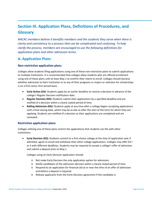# **Section III. Application Plans, Definitions of Procedures, and Glossary**

*NACAC members believe it benefits members and the students they serve when there is clarity and consistency to a process that can be complicated and confusing. To help clarify the process, members are encouraged to use the following definitions for application plans and other admission terms.*

## **A. Application Plans**

### **Non-restrictive application plans**

Colleges allow students filing applications using one of these non-restrictive plans to submit applications to multiple institutions. It is recommended that colleges allow students who are offered enrollment using one of these plans until at least May 1 to confirm their intent to enroll. Colleges should disclose whether admission to their institution or to any of their programs or majors or selection for scholarships is on a first-come, first-served basis.

- **Early Action (EA):** Students apply by an earlier deadline to receive a decision in advance of the college's Regular Decision notification date.
- **Regular Decision (RD):** Students submit their applications by a specified deadline and are notified of a decision within a clearly stated period of time.
- **Rolling Admission (RA):** Students apply at any time after a college begins accepting applications until a final closing date, which may be as late as after the start of the term for which they are applying. Students are notified of a decision as their applications are completed and are reviewed.

### **Restrictive application plans**

Colleges utilizing one of these plans restrict the applications that students can file with other institutions.

• **Early Decision (ED):** Students commit to a first-choice college at the time of application and, if admitted, agree to enroll and withdraw their other college applications. Colleges may offer ED I or II with different deadlines. Students may be required to accept a college's offer of admission and submit a deposit prior to May 1.

Colleges using an Early Decision application should:

- o Not make Early Decision the only application option for admission.
- o Notify candidates of the admission decision within a clearly stated period of time.
- o Respond to an application for financial aid at or near the time of an offer of admission and before a deposit is required.
- o Release applicants from the Early Decision agreement if the candidate is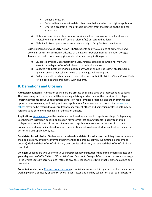- **•** Denied admission.
- **•** Deferred to an admission date other than that stated on the original application.
- Offered a program or major that is different from that stated on the original application.
- o State any admission preferences for specific applicant populations, such as legacies (typically siblings or the offspring of alumni/ae) or recruited athletes.
- o State if admission preferences are available only to Early Decision candidates.
- **Restrictive/Single Choice Early Action (REA):** Students apply to a college of preference and receive an admission decision in advance of the Regular Decision notification date. Colleges place certain restrictions on applying under other early application plans.
	- o Students admitted under Restrictive Early Action should be allowed until May 1 to accept the college's offer of admission or to submit a deposit.
	- o Colleges with Restrictive/Single Choice Early Action should not restrict students from applying under other colleges' Regular or Rolling application plans.
	- o Colleges should clearly articulate their restrictions in their Restrictive/Single Choice Early Action policies and agreements with students.

## **B. Definitions and Glossary**

**Admission counselors:** Admission counselors are professionals employed by or representing colleges. Their work may include some or all the following: advising students about the transition to college; informing students about undergraduate admission requirements, programs, and other offerings and opportunities; reviewing and taking action on applications for admission or scholarships. Admission offices may also be referred to as enrollment management offices and admission professionals may be referred to as enrollment managers or admission officers.

**Applications:** [Applications](https://surveys.nces.ed.gov/ipeds/VisGlossaryAll.aspx) are the medium or tool used by a student to apply to college. Colleges may use their own institution-specific application form; forms that allow students to apply to multiple colleges; or a combination of the two. Some types of applications are directed at specific student populations and may be identified as priority applications, international student applications, visual or performing arts applications, etc.

**Candidates for admission:** Students are considered candidates for admission until they have withdrawn their applications, officially confirmed their intention to enroll (usually by submitting an enrollment deposit), declined their offer of admission, been denied admission, or have had their offer of admission canceled.

**Colleges:** Colleges are two-year or four-year postsecondary institutions that enroll undergraduates and grant degrees. NACAC's *Guide to Ethical Admission Practice in College Admission* follows common usage in the United States where "college" refers to any postsecondary institution that is either a college or a university.

**Commissioned agents:** [Commissioned](https://www.nacacnet.org/knowledge-center/international/Commisioned_agent_series/) agents are individuals or other third-party recruiters, sometimes working within a company or agency, who are contracted and paid by colleges on a per capita basis to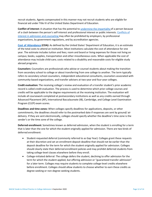recruit students. Agents compensated in this manner may not recruit students who are eligible for financial aid under Title IV of the United States Department of Education.

**Conflict of interest:** A situation that has the potential to [undermine the](https://www.acenet.edu/Documents/Executive-Summary-Higher-Education-Conflict-of-Interest-Guidelines.pdf#search=conflict%20of%20interest) impartiality of a person because of a clash between the person's self-interest and professional interest or public interests. [Conflicts](https://www.nacacnet.org/professional-development/elearning/college-admission-ethics-in-action/) of interest in admission and [counseling](https://www.nacacnet.org/professional-development/elearning/college-admission-ethics-in-action/) may often be prohibited by employers, by professional organizations, by government regulations, and by accreditation agencies.

**Cost of [Attendance](https://studentaid.gov/complete-aid-process/how-calculated#cost-of-attendance) (COA):** As defined by the United States' Department of Education, it is an estimate of the total costs to attend an institution. Most institutions calculate the cost of attendance for one year. The estimate includes tuition and fees; room and board or living expenses for those not living on campus; books, supplies, transportation and other miscellaneous costs. When applicable the cost of attendance may include child-care; costs related to a disability and reasonable costs for eligible study abroad programs.

**Counselors:** Counselors are professionals who advise or counsel students about making the transition from secondary school to college or about transferring from one college to another. The term typically refers to secondary school counselors, independent educational consultants, counselors associated with community-based organizations, and transfer advisers at two-year and four-year colleges.

**Credit evaluation:** The receiving college's review and evaluation of a transfer student's prior academic record is called credit evaluation. The process is used to determine which prior college courses and credits will be applicable to the degree requirements at the receiving institution. The evaluation will include all coursework completed at postsecondary institutions as well as any credits earned through Advanced Placement (AP), International Baccalaureate (IB), Cambridge, and College Level Examination Program (CLEP) exam scores.

**Deadlines and time zones:** When colleges specify deadlines for applications, deposits, or other commitments, the deadlines should refer to the postmarked date if responses are sent by ground/ air delivery. If they are sent electronically, colleges should specify whether the deadline's time zone is the sender's or the time zone of the college.

**Deferred enrollment:** Sometimes known as deferred admission, when the student is enrolling for a term that is later than the one for which the student originally applied for admission. There are two kinds of deferred enrollment:

- Student-requested deferral (commonly referred to as Gap Year): Colleges grant these requests at their discretion and set an enrollment deposit deadline that should not be earlier than the deposit deadline for the term for which the student originally applied for admission. Colleges should clearly state their deferred enrollment policies and may prohibit deferred students from taking college-level classes elsewhere before they enroll.
- College-initiated deferral: The college defers the student, declining to offer admission for the term for which the student applied, but offering admission or "guaranteed transfer admission" for a later term. Colleges may require students to complete college-level credits elsewhere before enrollment. Colleges should allow students to choose whether to earn these credits as degree-seeking or non-degree-seeking students.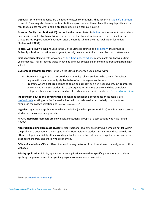**Deposits:** Enrollment deposits are the fees or written commitments that confirm [a student's](https://www.nacacfairs.org/learn/fee-waiver/enrollment-deposit-fee-waiver/) intention to enroll. They may also be referred to as tuition deposits or enrollment fees. Housing deposits are the fees that colleges require to hold a student's place in on-campus housing.

**Expected family contribution (EFC):** As used in the United States i[s defined](https://studentaid.gov/complete-aid-process/how-calculated) as the amount that students and families should able to contribute to the cost of the student's education as determined by the United States' Department of Education after the family submits the Free Application for Federal Student Aid (FAFSA).

**Federal work-study (FWS):** As used in the United States is defined as a **program** that provides Federally subsidized part-time employment, usually on campus, to help cover the cost of attendance.

**First-year students:** Students who apply as first-time [undergraduate](https://surveys.nces.ed.gov/ipeds/VisGlossaryAll.aspx) matriculants are known as firstyear students. These students typically have no previous college experience since graduating from high school.

**Guaranteed transfer program:** In the United States, the term is used in two ways:

- Statewide programs that ensure that community college students who earn an Associates degree will be automatically eligible to transfer to four-year institutions
- Programs where a college declines to admit an applicant as a first-year student, but guarantees admission as a transfer student for a subsequent term so long as the candidate completes college-level courses elsewhere and meets certain other requirements (see Deferred Admission)

**Independent educational consultants:** Independent educational consultants or counselors are [professionals](https://www.iecaonline.com/) working on a fee for service basis who provide services exclusively to students and families in the college selection and application process.<sup>[3](#page-13-0)</sup>

**Legacies:** Legacies are applicants who have a relative (usually a parent or sibling) who is either a current student at the college or a graduate.

**NACAC members:** Members are individuals, institutions, groups, or organizations who have joined NACAC.

**Nontraditional undergraduate students:** Nontraditional students are individuals who do not fall within the profile of a dependent student aged 18–24. Nontraditional students may include those who do not attend college immediately after secondary school or who return after a prolonged absence, parents of dependent children, and those who are married.

**Offers of admission:** Official offers of admission may be transmitted by mail, electronically, or on official websites.

**Priority application:** Priority application is an application created for specific populations of students applying for general admission; specific programs or majors or scholarships.

<span id="page-13-0"></span><sup>3</sup> See also<https://hecaonline.org/>